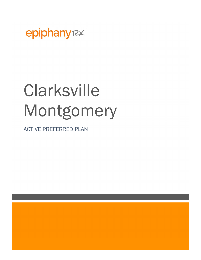

# **Clarksville** Montgomery

ACTIVE PREFERRED PLAN

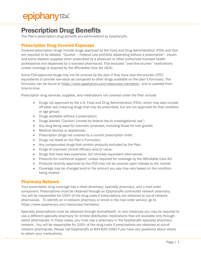### Prescription Drug Benefits

The Plan's prescription drug benefits are administered by EpiphanyRx.

#### Prescription Drug Covered Expenses

Covered prescription drugs include drugs approved by the Food and Drug Administration (FDA) and that are required to be labeled, "Caution – Federal Law prohibits dispensing without a prescription", insulin and some diabetic supplies when prescribed by a physician or other authorized licensed health professional and dispensed by a licensed pharmacist. This excludes "over-the-counter" medications unless coverage is required by the Affordable Care Act (ACA).

Some FDA-approved drugs may not be covered by the plan if they have over-the-counter (OTC) equivalents or provide low-value as compared to other drugs available on the plan's formulary. The formulary can be found at https://www.epiphanyrx.com/resources/members/ and is updated from time-to-time.

Prescription drug services, supplies, and medications not covered under the Plan include:

- Drugs not approved by the U.S. Food and Drug Administration (FDA), which may also include off-label use (meaning drugs that may be prescribed, but are not approved for that condition or age group);
- Drugs available without a prescription;
- Drugs labeled "Caution: Limited by federal law to investigational use";
- Any drug being used for cosmetic purposes, including those for hair growth;
- Medical devices or appliances;
- Prescription drugs not covered by a current prescription order;
- Drugs not listed on the Plan's Formulary;
- Any compounded drugs that contain products excluded by the Plan;
- Drugs of unproven clinical efficacy and/or value;
- Drugs that have less expensive, but clinically equivalent alternatives.
- Products for nutritional support, unless required for coverage by the Affordable Care Act
- Products recently approved by the FDA may not be covered upon release to the market
- Coverage may be changed and/or the amount you pay may vary based on the condition being treated

#### Pharmacy Network

Your prescription drug coverage has a retail pharmacy, specialty pharmacy, and a mail order component. Prescriptions must be obtained through an EpiphanyRx contracted network pharmacy. You will be responsible for 100% of the drug costs if prescriptions are obtained at out-of-network pharmacies. To identify an in-network pharmacy or enroll in the mail order service, go to https://www.epiphanyrx.com/resources/members/.

Specialty prescriptions must be obtained through AcariaHealth. In rare instances you may be required to use a different specialty pharmacy for limited distribution medications that are available only through select pharmacies. In those cases, you must use a pharmacy in the EpiphanyRx specialty pharmacy network. You will be responsible for 100% of the drug costs if prescriptions are obtained at out-ofnetwork pharmacies. Please call EpiphanyRx at 844-820-3260 if you have any questions about where to obtain your medications.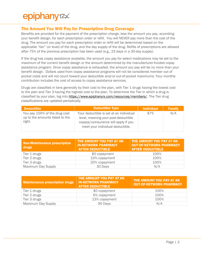### epiphany<sub>72</sub>

#### The Amount You Will Pay for Prescription Drug Coverage

Benefits are provided for the payment of the prescription charge, less the amount you pay, according your benefit design, for each prescription order or refill. You will NEVER pay more than the cost of the drug. The amount you pay for each prescription order or refill will be determined based on the applicable "tier" (or level) of the drug, and the day supply of the drug. Refills of prescriptions are allowed after 75% of the previous prescription has been used (e.g., 23 days in a 30-day supply).

If the drug has copay assistance available, the amount you pay for select medications may be set to the maximum of the current benefit design or the amount determined by the manufacturer-funded copay assistance program. Once copay assistance is exhausted, the amount you pay will be no more than your benefit design. Dollars used from copay assistance programs will not be considered member out of pocket costs and will not count toward your deductible and/or out-of-pocket maximums. Your monthly contribution includes the cost of access to copay assistance services.

Drugs are classified in tiers generally by their cost to the plan, with Tier 1 drugs having the lowest cost to the plan and Tier 3 having the highest cost to the plan. To determine the Tier in which a drug is classified by your plan, log into https://www.epiphanyrx.com/resources/members/. The Tier drug classifications are updated periodically.

| <b>Deductible</b>                                                          | <b>Deductible Type</b>                                                                                                                                     | <b>Individual</b> | <b>Family</b> |
|----------------------------------------------------------------------------|------------------------------------------------------------------------------------------------------------------------------------------------------------|-------------------|---------------|
| You pay 100% of the drug cost<br>up to the amounts listed to the<br>right. | Your deductible is set at an individual<br>level, meaning your post-deductible<br>copays/coinsurance will apply if you<br>meet your individual deductible. | \$75              | N/A           |

| <b>Non-Maintenance prescription</b><br>drugs | THE AMOUNT YOU PAY AT AN<br><b>IN-NETWORK PHARMACY</b><br><b>AFTER DEDUCTIBLE</b> | THE AMOUNT YOU PAY AT AN<br><b>OUT-OF-NETWORK PHARMACY</b><br><b>AFTER DEDUCTIBLE</b> |
|----------------------------------------------|-----------------------------------------------------------------------------------|---------------------------------------------------------------------------------------|
| Tier 1 drugs                                 | \$0 copayment                                                                     | 100%                                                                                  |
| Tier 2 drugs                                 | 10% copayment                                                                     | 100%                                                                                  |
| Tier 3 drugs                                 | 20% copayment                                                                     | 100%                                                                                  |
| <b>Maximum Day Supply</b>                    | 30 Days                                                                           | N/A                                                                                   |

| <b>Maintenance prescription drugs</b> | THE AMOUNT YOU PAY AT AN<br><b>IN-NETWORK PHARMACY</b><br><b>AFTER DEDUCTIBLE</b> | THE AMOUNT YOU PAY AT AN<br><b>OUT-OF-NETWORK PHARMACY</b> |
|---------------------------------------|-----------------------------------------------------------------------------------|------------------------------------------------------------|
| Tier 1 drugs                          | \$0 copayment                                                                     | 100%                                                       |
| Tier 2 drugs                          | 6% copayment                                                                      | 100%                                                       |
| Tier 3 drugs                          | 13% copayment                                                                     | 100%                                                       |
| <b>Maximum Day Supply</b>             | 90 Days                                                                           | N/A                                                        |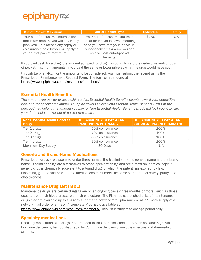| <b>Out-of-Pocket Maximum</b>                                                                                                                                                         | <b>Out-of-Pocket Type</b>                                                                                                                                                              | <b>Individual</b> | <b>Family</b> |
|--------------------------------------------------------------------------------------------------------------------------------------------------------------------------------------|----------------------------------------------------------------------------------------------------------------------------------------------------------------------------------------|-------------------|---------------|
| Your out-of-pocket maximum is the<br>maximum amount you will pay in any<br>plan year. This means any copay or<br>coinsurance paid by you will apply to<br>your out of pocket maximum | Your out-of-pocket maximum is<br>set at an individual level, meaning<br>once you have met your individual<br>out-of-pocket maximum, you can<br>receive post out-of-pocket<br>benefits. | \$750             | N/A           |

If you paid cash for a drug, the amount you paid for drug may count toward the deductible and/or outof-pocket maximum amounts, if you paid the same or lower price as what the drug would have cost

through EpiphanyRx. For the amounts to be considered, you must submit the receipt using the Prescription Reimbursement Request Form. The form can be found at https://www.epiphanyrx.com/resources/members/.

#### Essential Health Benefits

The amount you pay for drugs designated as Essential Health Benefits counts toward your deductible and/or out-of-pocket maximum. Your plan covers select Non-Essential Health Benefits Drugs at the tiers outlined below. The amount you pay for Non-Essential Health Benefits Drugs will NOT count toward your deductible and/or out-of-pocket maximum.

| <b>Non-Essential Health Benefits</b> | THE AMOUNT YOU PAY AT AN   | THE AMOUNT YOU PAY AT AN       |
|--------------------------------------|----------------------------|--------------------------------|
| <b>Drugs</b>                         | <b>IN-NETWORK PHARMACY</b> | <b>OUT-OF-NETWORK PHARMACY</b> |
| Tier 1 drugs                         | 50% coinsurance            | 100%                           |
| Tier 2 drugs                         | 70% coinsurance            | 100%                           |
| Tier 3 drugs                         | 80% coinsurance            | 100%                           |
| Tier 4 drugs                         | 90% coinsurance            | 100%                           |
| <b>Maximum Day Supply</b>            | 30 Days                    | N/A                            |

#### Generic and Brand-Name Medications

Prescription drugs are dispensed under three names: the biosimilar name, generic name and the brand name. Biosimilar drugs are alternatives to brand specialty drugs and are almost an identical copy. A generic drug is chemically equivalent to a brand drug for which the patent has expired. By law, biosimilar, generic and brand name medications must meet the same standards for safety, purity, and effectiveness.

#### Maintenance Drug List (MDL)

Maintenance drugs are certain drugs taken on an ongoing basis (three months or more), such as those used to treat high blood pressure or high cholesterol. The Plan has established a list of maintenance drugs that are available up to a 90-day supply at a network retail pharmacy or as a 90-day supply at a network mail order pharmacy. A complete MDL list is available at:

https://www.epiphanyrx.com/resources/members/. This list is subject to change periodically.

#### Specialty medications

Specialty medications are drugs that are used to treat complex conditions, such as cancer, growth hormone deficiency, hemophilia, hepatitis C, immune deficiency, multiple sclerosis and rheumatoid arthritis.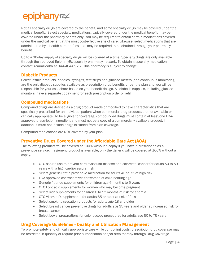## epiphany<sub>72</sub>

Not all specialty drugs are covered by the benefit, and some specialty drugs may be covered under the medical benefit. Select specialty medications, typically covered under the medical benefit, may be covered under the pharmacy benefit only. You may be required to obtain certain medications covered under the medical benefit at the most cost-effective site of care. Likewise, select medications that are administered by a health care professional may be required to be obtained through your pharmacy benefit.

Up to a 30-day supply of specialty drugs will be covered at a time. Specialty drugs are only available through the approved EpiphanyRx specialty pharmacy network. To obtain a specialty medication, contact AcariaHealth at 844-484-6926. This pharmacy is subject to change.

#### Diabetic Products

Select insulin products, needles, syringes, test strips and glucose meters (non-continuous monitoring) are the only diabetic supplies available as prescription drug benefits under the plan and you will be responsible for your cost share based on your benefit design. All diabetic supplies, including glucose monitors, have a separate copayment for each prescription order or refill.

#### Compound medications

Compound drugs are defined as a drug product made or modified to have characteristics that are specifically prescribed for an individual patient when commercial drug products are not available or clinically appropriate. To be eligible for coverage, compounded drugs must contain at least one FDAapproved prescription ingredient and must not be a copy of a commercially available product. In addition, it must not include drugs excluded from plan coverage.

Compound medications are NOT covered by your plan.

#### Preventive Drugs Covered under the Affordable Care Act (ACA)

The following products will be covered at 100% without a copay if you have a prescription as a preventive service. If a generic product is available, only the generic will be covered at 100% without a copay.

- OTC aspirin use to prevent cardiovascular disease and colorectal cancer for adults 50 to 59 years with a high cardiovascular risk
- Select generic Statin preventive medication for adults 40 to 75 at high risk
- FDA-approved contraceptives for women of child-bearing age
- Generic fluoride supplements for children age 6-months to 5 years
- OTC Folic acid supplements for women who may become pregnant
- Select Iron supplements for children 6 to 12 months at risk for anemia.
- OTC Vitamin D supplements for adults 65 or older at risk of falls
- Select smoking cessation products for adults age 18 and older
- Select breast cancer preventive drugs for adults age 35 years and older at increased risk for breast cancer
- Select bowel preparations for colonoscopy procedures for adults age 50 to 75 years

#### Drug Coverage Guidelines - Quality and Utilization Management

To promote safety and clinically appropriate care while controlling costs, prescription drug coverage may be restricted in quantity or require prior authorization and/or step therapy through Drug Coverage